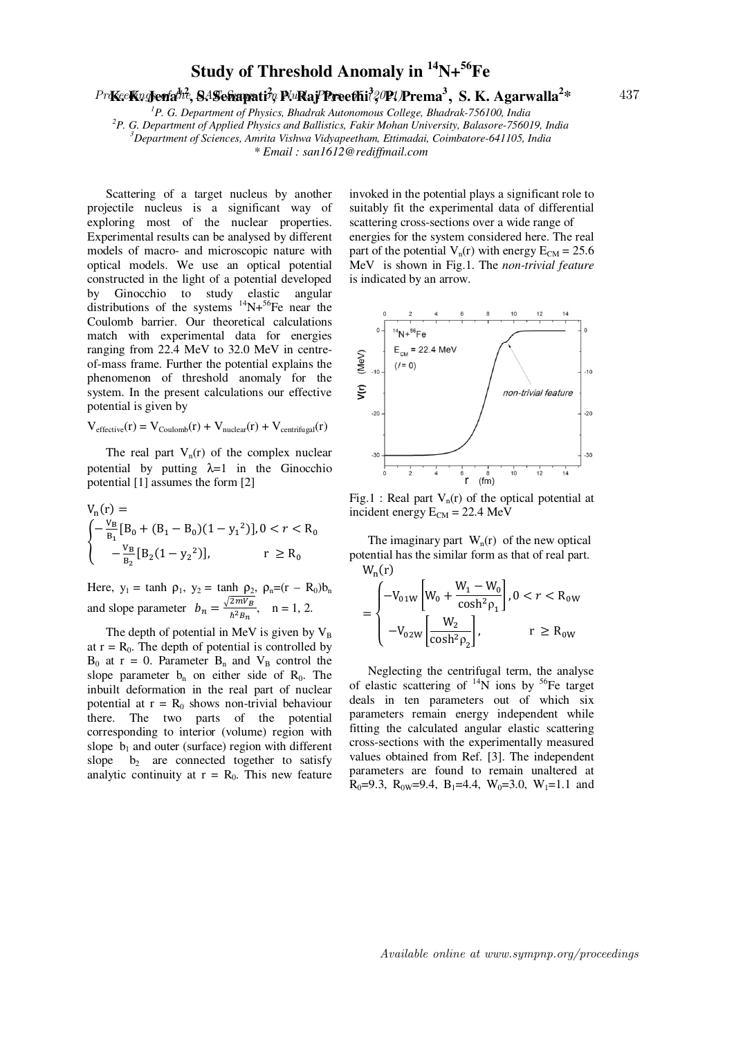## **Study of Threshold Anomaly in <sup>14</sup>N+<sup>56</sup>Fe**

## $Pr$ KeeKng**Jena<sup>hi</sup>, SASehapati** $\gamma$ p P.uRaj Preethi $\frac{3}{2}$ OP! Prema<sup>3</sup>, S. K. Agarwalla<sup>2</sup>\* 437

*P. G. Department of Physics, Bhadrak Autonomous College, Bhadrak-756100, India P. G. Department of Applied Physics and Ballistics, Fakir Mohan University, Balasore-756019, India Department of Sciences, Amrita Vishwa Vidyapeetham, Ettimadai, Coimbatore-641105, India \* Email : san1612@rediffmail.com*

 Scattering of a target nucleus by another projectile nucleus is a significant way of exploring most of the nuclear properties. Experimental results can be analysed by different models of macro- and microscopic nature with optical models. We use an optical potential constructed in the light of a potential developed by Ginocchio to study elastic angular distributions of the systems  $^{14}N+^{56}Fe$  near the Coulomb barrier. Our theoretical calculations match with experimental data for energies ranging from 22.4 MeV to 32.0 MeV in centreof-mass frame. Further the potential explains the phenomenon of threshold anomaly for the system. In the present calculations our effective potential is given by

$$
V_{effective}(r) = V_{\text{Coulomb}}(r) + V_{\text{nuclear}}(r) + V_{\text{centrifugal}}(r)
$$

The real part  $V_n(r)$  of the complex nuclear potential by putting  $\lambda=1$  in the Ginocchio potential [1] assumes the form [2]

$$
V_n(r) =
$$
  
\n
$$
\begin{cases}\n-\frac{V_B}{B_1} [B_0 + (B_1 - B_0)(1 - y_1^2)], 0 < r < R_0 \\
-\frac{V_B}{B_2} [B_2(1 - y_2^2)], & r \ge R_0\n\end{cases}
$$

Here,  $y_1 = \tanh \rho_1$ ,  $y_2 = \tanh \rho_2$ ,  $\rho_n = (r - R_0)b_n$ and slope parameter  $b_n = \frac{\sqrt{2mV_B}}{\hbar^2 B_n}$  $\frac{2mV_{B}}{\hbar^{2}B_{n}}$ , n = 1, 2.

The depth of potential in MeV is given by  $V_B$ at  $r = R_0$ . The depth of potential is controlled by  $B_0$  at r = 0. Parameter  $B_n$  and  $V_B$  control the slope parameter  $b_n$  on either side of  $R_0$ . The inbuilt deformation in the real part of nuclear potential at  $r = R_0$  shows non-trivial behaviour there. The two parts of the potential corresponding to interior (volume) region with slope  $b_1$  and outer (surface) region with different slope  $b_2$  are connected together to satisfy analytic continuity at  $r = R_0$ . This new feature invoked in the potential plays a significant role to suitably fit the experimental data of differential scattering cross-sections over a wide range of energies for the system considered here. The real part of the potential  $V_n(r)$  with energy  $E_{CM} = 25.6$ MeV is shown in Fig.1. The *non-trivial feature* is indicated by an arrow.



Fig.1 : Real part  $V_n(r)$  of the optical potential at incident energy  $E_{CM} = 22.4$  MeV

The imaginary part  $W_n(r)$  of the new optical potential has the similar form as that of real part.  $W_n(r)$ 

$$
= \begin{cases} -V_{01W} \left[W_0 + \frac{W_1 - W_0}{\cosh^2 \rho_1} \right], 0 < r < R_{0W} \\ -V_{02W} \left[\frac{W_2}{\cosh^2 \rho_2} \right], & r \ge R_{0W} \end{cases}
$$

 Neglecting the centrifugal term, the analyse of elastic scattering of  $^{14}N$  ions by <sup>56</sup>Fe target deals in ten parameters out of which six parameters remain energy independent while fitting the calculated angular elastic scattering cross-sections with the experimentally measured values obtained from Ref. [3]. The independent parameters are found to remain unaltered at  $R_0=9.3$ ,  $R_{0W}=9.4$ ,  $B_1=4.4$ ,  $W_0=3.0$ ,  $W_1=1.1$  and